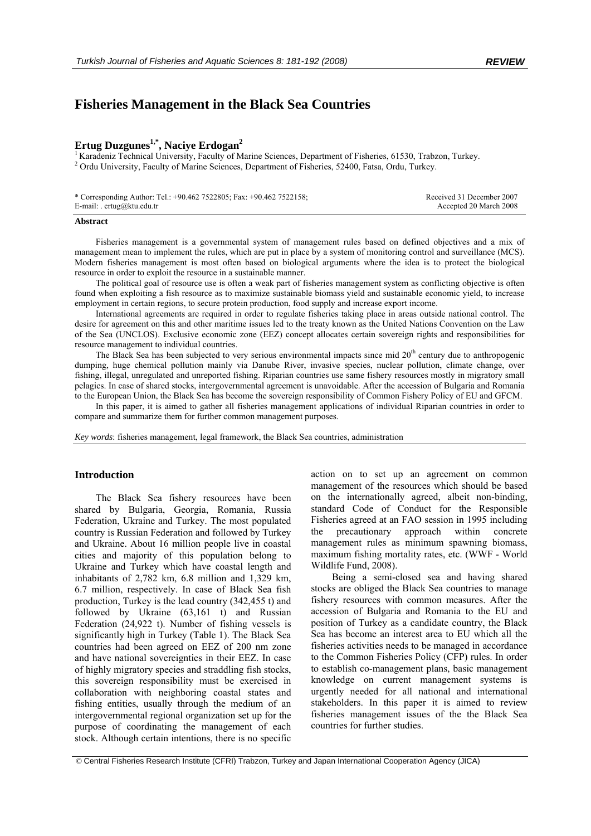# **Fisheries Management in the Black Sea Countries**

## Ertug Duzgunes<sup>1,\*</sup>, Naciye Erdogan<sup>2</sup>

<sup>1</sup> Karadeniz Technical University, Faculty of Marine Sciences, Department of Fisheries, 61530, Trabzon, Turkey. <sup>2</sup> Ordu University, Faculty of Marine Sciences, Department of Fisheries, 52400, Fatsa, Ordu, Turkey.

| * Corresponding Author: Tel.: +90.462 7522805; Fax: +90.462 7522158; | Received 31 December 2007 |
|----------------------------------------------------------------------|---------------------------|
| E-mail: . $ertug@ktu.edu.tr$                                         | Accepted 20 March 2008    |

#### **Abstract**

Fisheries management is a governmental system of management rules based on defined objectives and a mix of management mean to implement the rules, which are put in place by a system of monitoring control and surveillance (MCS). Modern fisheries management is most often based on biological arguments where the idea is to protect the biological resource in order to exploit the resource in a sustainable manner.

The political goal of resource use is often a weak part of fisheries management system as conflicting objective is often found when exploiting a fish resource as to maximize sustainable biomass yield and sustainable economic yield, to increase employment in certain regions, to secure protein production, food supply and increase export income.

International agreements are required in order to regulate fisheries taking place in areas outside national control. The desire for agreement on this and other maritime issues led to the treaty known as the United Nations Convention on the Law of the Sea (UNCLOS). Exclusive economic zone (EEZ) concept allocates certain sovereign rights and responsibilities for resource management to individual countries.

The Black Sea has been subjected to very serious environmental impacts since mid 20<sup>th</sup> century due to anthropogenic dumping, huge chemical pollution mainly via Danube River, invasive species, nuclear pollution, climate change, over fishing, illegal, unregulated and unreported fishing. Riparian countries use same fishery resources mostly in migratory small pelagics. In case of shared stocks, intergovernmental agreement is unavoidable. After the accession of Bulgaria and Romania to the European Union, the Black Sea has become the sovereign responsibility of Common Fishery Policy of EU and GFCM.

In this paper, it is aimed to gather all fisheries management applications of individual Riparian countries in order to compare and summarize them for further common management purposes.

*Key words*: fisheries management, legal framework, the Black Sea countries, administration

### **Introduction**

The Black Sea fishery resources have been shared by Bulgaria, Georgia, Romania, Russia Federation, Ukraine and Turkey. The most populated country is Russian Federation and followed by Turkey and Ukraine. About 16 million people live in coastal cities and majority of this population belong to Ukraine and Turkey which have coastal length and inhabitants of 2,782 km, 6.8 million and 1,329 km, 6.7 million, respectively. In case of Black Sea fish production, Turkey is the lead country (342,455 t) and followed by Ukraine (63,161 t) and Russian Federation (24,922 t). Number of fishing vessels is significantly high in Turkey (Table 1). The Black Sea countries had been agreed on EEZ of 200 nm zone and have national sovereignties in their EEZ. In case of highly migratory species and straddling fish stocks, this sovereign responsibility must be exercised in collaboration with neighboring coastal states and fishing entities, usually through the medium of an intergovernmental regional organization set up for the purpose of coordinating the management of each stock. Although certain intentions, there is no specific action on to set up an agreement on common management of the resources which should be based on the internationally agreed, albeit non-binding, standard Code of Conduct for the Responsible Fisheries agreed at an FAO session in 1995 including the precautionary approach within concrete management rules as minimum spawning biomass, maximum fishing mortality rates, etc. (WWF - World Wildlife Fund, 2008).

Being a semi-closed sea and having shared stocks are obliged the Black Sea countries to manage fishery resources with common measures. After the accession of Bulgaria and Romania to the EU and position of Turkey as a candidate country, the Black Sea has become an interest area to EU which all the fisheries activities needs to be managed in accordance to the Common Fisheries Policy (CFP) rules. In order to establish co-management plans, basic management knowledge on current management systems is urgently needed for all national and international stakeholders. In this paper it is aimed to review fisheries management issues of the the Black Sea countries for further studies.

 <sup>©</sup> Central Fisheries Research Institute (CFRI) Trabzon, Turkey and Japan International Cooperation Agency (JICA)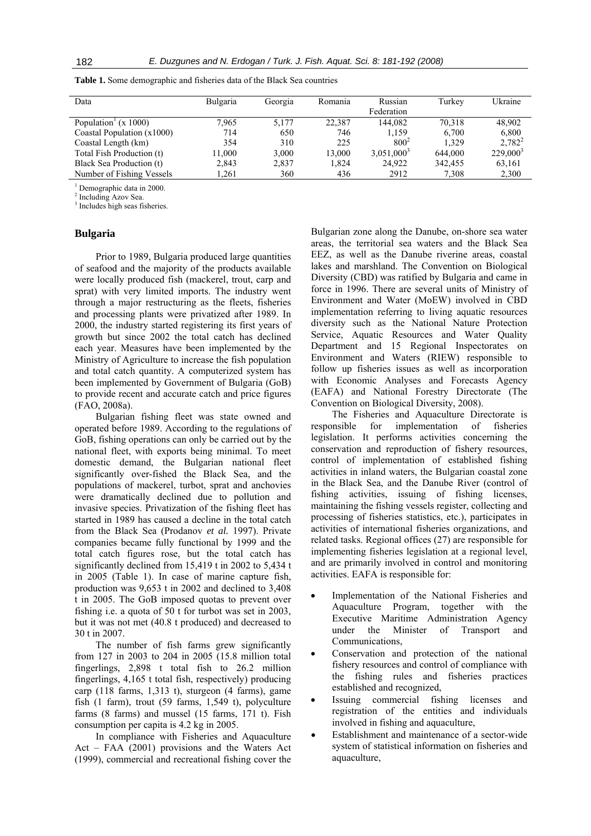| Data                                                    | <b>Bulgaria</b> | Georgia | Romania | Russian       | Turkev  | Ukraine     |
|---------------------------------------------------------|-----------------|---------|---------|---------------|---------|-------------|
|                                                         |                 |         |         | Federation    |         |             |
| Population <sup><math>\frac{1}{x}</math></sup> (x 1000) | 7.965           | 5.177   | 22.387  | 144.082       | 70.318  | 48,902      |
| Coastal Population $(x1000)$                            | 714             | 650     | 746     | 1.159         | 6,700   | 6,800       |
| Coastal Length (km)                                     | 354             | 310     | 225     | $800^2$       | 1.329   | $2,782^2$   |
| Total Fish Production (t)                               | 11,000          | 3,000   | 13,000  | $3,051,000^3$ | 644.000 | $229,000^3$ |
| Black Sea Production (t)                                | 2,843           | 2,837   | 1.824   | 24,922        | 342,455 | 63,161      |
| Number of Fishing Vessels                               | 1.261           | 360     | 436     | 2912          | 7,308   | 2,300       |

**Table 1.** Some demographic and fisheries data of the Black Sea countries

<sup>1</sup> Demographic data in 2000.

2 Including Azov Sea.

3 Includes high seas fisheries.

#### **Bulgaria**

Prior to 1989, Bulgaria produced large quantities of seafood and the majority of the products available were locally produced fish (mackerel, trout, carp and sprat) with very limited imports. The industry went through a major restructuring as the fleets, fisheries and processing plants were privatized after 1989. In 2000, the industry started registering its first years of growth but since 2002 the total catch has declined each year. Measures have been implemented by the Ministry of Agriculture to increase the fish population and total catch quantity. A computerized system has been implemented by Government of Bulgaria (GoB) to provide recent and accurate catch and price figures (FAO, 2008a).

Bulgarian fishing fleet was state owned and operated before 1989. According to the regulations of GoB, fishing operations can only be carried out by the national fleet, with exports being minimal. To meet domestic demand, the Bulgarian national fleet significantly over-fished the Black Sea, and the populations of mackerel, turbot, sprat and anchovies were dramatically declined due to pollution and invasive species. Privatization of the fishing fleet has started in 1989 has caused a decline in the total catch from the Black Sea (Prodanov *et al.* 1997). Private companies became fully functional by 1999 and the total catch figures rose, but the total catch has significantly declined from 15,419 t in 2002 to 5,434 t in 2005 (Table 1). In case of marine capture fish, production was 9,653 t in 2002 and declined to 3,408 t in 2005. The GoB imposed quotas to prevent over fishing i.e. a quota of 50 t for turbot was set in 2003, but it was not met (40.8 t produced) and decreased to 30 t in 2007.

The number of fish farms grew significantly from 127 in 2003 to 204 in 2005 (15.8 million total fingerlings, 2,898 t total fish to 26.2 million fingerlings, 4,165 t total fish, respectively) producing carp (118 farms, 1,313 t), sturgeon (4 farms), game fish (1 farm), trout (59 farms, 1,549 t), polyculture farms (8 farms) and mussel (15 farms, 171 t). Fish consumption per capita is 4.2 kg in 2005.

In compliance with Fisheries and Aquaculture Act – FAA (2001) provisions and the Waters Act (1999), commercial and recreational fishing cover the Bulgarian zone along the Danube, on-shore sea water areas, the territorial sea waters and the Black Sea EEZ, as well as the Danube riverine areas, coastal lakes and marshland. The Convention on Biological Diversity (CBD) was ratified by Bulgaria and came in force in 1996. There are several units of Ministry of Environment and Water (MoEW) involved in CBD implementation referring to living aquatic resources diversity such as the National Nature Protection Service, Aquatic Resources and Water Quality Department and 15 Regional Inspectorates on Environment and Waters (RIEW) responsible to follow up fisheries issues as well as incorporation with Economic Analyses and Forecasts Agency (EAFA) and National Forestry Directorate (The Convention on Biological Diversity, 2008).

The Fisheries and Aquaculture Directorate is responsible for implementation of fisheries legislation. It performs activities concerning the conservation and reproduction of fishery resources, control of implementation of established fishing activities in inland waters, the Bulgarian coastal zone in the Black Sea, and the Danube River (control of fishing activities, issuing of fishing licenses, maintaining the fishing vessels register, collecting and processing of fisheries statistics, etc.), participates in activities of international fisheries organizations, and related tasks. Regional offices (27) are responsible for implementing fisheries legislation at a regional level, and are primarily involved in control and monitoring activities. EAFA is responsible for:

- Implementation of the National Fisheries and Aquaculture Program, together with the Executive Maritime Administration Agency under the Minister of Transport and Communications,
- Conservation and protection of the national fishery resources and control of compliance with the fishing rules and fisheries practices established and recognized,
- Issuing commercial fishing licenses and registration of the entities and individuals involved in fishing and aquaculture,
- Establishment and maintenance of a sector-wide system of statistical information on fisheries and aquaculture,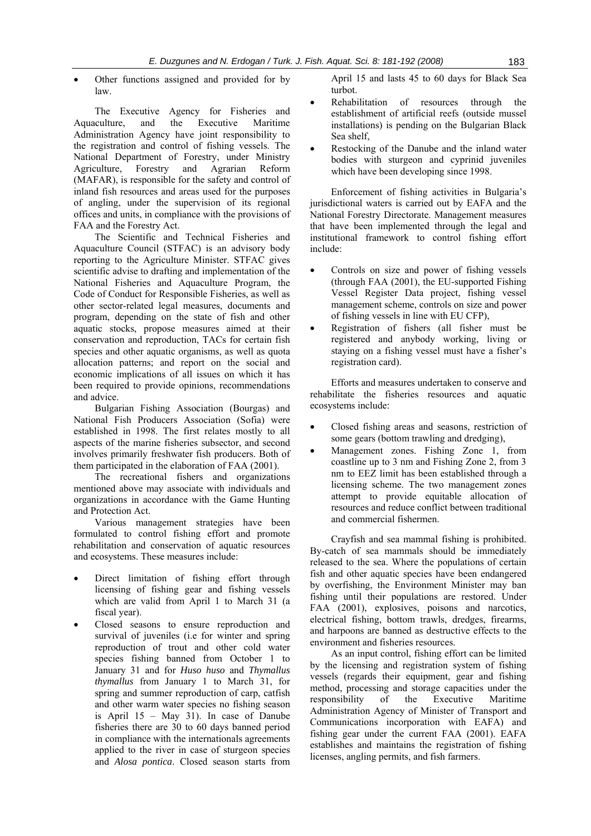• Other functions assigned and provided for by law.

The Executive Agency for Fisheries and Aquaculture, and the Executive Maritime Administration Agency have joint responsibility to the registration and control of fishing vessels. The National Department of Forestry, under Ministry Agriculture, Forestry and Agrarian Reform (MAFAR), is responsible for the safety and control of inland fish resources and areas used for the purposes of angling, under the supervision of its regional offices and units, in compliance with the provisions of FAA and the Forestry Act.

The Scientific and Technical Fisheries and Aquaculture Council (STFAC) is an advisory body reporting to the Agriculture Minister. STFAC gives scientific advise to drafting and implementation of the National Fisheries and Aquaculture Program, the Code of Conduct for Responsible Fisheries, as well as other sector-related legal measures, documents and program, depending on the state of fish and other aquatic stocks, propose measures aimed at their conservation and reproduction, TACs for certain fish species and other aquatic organisms, as well as quota allocation patterns; and report on the social and economic implications of all issues on which it has been required to provide opinions, recommendations and advice.

Bulgarian Fishing Association (Bourgas) and National Fish Producers Association (Sofia) were established in 1998. The first relates mostly to all aspects of the marine fisheries subsector, and second involves primarily freshwater fish producers. Both of them participated in the elaboration of FAA (2001).

The recreational fishers and organizations mentioned above may associate with individuals and organizations in accordance with the Game Hunting and Protection Act.

Various management strategies have been formulated to control fishing effort and promote rehabilitation and conservation of aquatic resources and ecosystems. These measures include:

- Direct limitation of fishing effort through licensing of fishing gear and fishing vessels which are valid from April 1 to March 31 (a fiscal year).
- Closed seasons to ensure reproduction and survival of juveniles (i.e for winter and spring reproduction of trout and other cold water species fishing banned from October 1 to January 31 and for *Huso huso* and *Thymallus thymallus* from January 1 to March 31, for spring and summer reproduction of carp, catfish and other warm water species no fishing season is April 15 – May 31). In case of Danube fisheries there are 30 to 60 days banned period in compliance with the internationals agreements applied to the river in case of sturgeon species and *Alosa pontica*. Closed season starts from

April 15 and lasts 45 to 60 days for Black Sea turbot.

- Rehabilitation of resources through the establishment of artificial reefs (outside mussel installations) is pending on the Bulgarian Black Sea shelf,
- Restocking of the Danube and the inland water bodies with sturgeon and cyprinid juveniles which have been developing since 1998.

Enforcement of fishing activities in Bulgaria's jurisdictional waters is carried out by EAFA and the National Forestry Directorate. Management measures that have been implemented through the legal and institutional framework to control fishing effort include:

- Controls on size and power of fishing vessels (through FAA (2001), the EU-supported Fishing Vessel Register Data project, fishing vessel management scheme, controls on size and power of fishing vessels in line with EU CFP),
- Registration of fishers (all fisher must be registered and anybody working, living or staying on a fishing vessel must have a fisher's registration card).

Efforts and measures undertaken to conserve and rehabilitate the fisheries resources and aquatic ecosystems include:

- Closed fishing areas and seasons, restriction of some gears (bottom trawling and dredging),
- Management zones. Fishing Zone 1, from coastline up to 3 nm and Fishing Zone 2, from 3 nm to EEZ limit has been established through a licensing scheme. The two management zones attempt to provide equitable allocation of resources and reduce conflict between traditional and commercial fishermen.

Crayfish and sea mammal fishing is prohibited. By-catch of sea mammals should be immediately released to the sea. Where the populations of certain fish and other aquatic species have been endangered by overfishing, the Environment Minister may ban fishing until their populations are restored. Under FAA (2001), explosives, poisons and narcotics, electrical fishing, bottom trawls, dredges, firearms, and harpoons are banned as destructive effects to the environment and fisheries resources.

As an input control, fishing effort can be limited by the licensing and registration system of fishing vessels (regards their equipment, gear and fishing method, processing and storage capacities under the responsibility of the Executive Maritime Administration Agency of Minister of Transport and Communications incorporation with EAFA) and fishing gear under the current FAA (2001). EAFA establishes and maintains the registration of fishing licenses, angling permits, and fish farmers.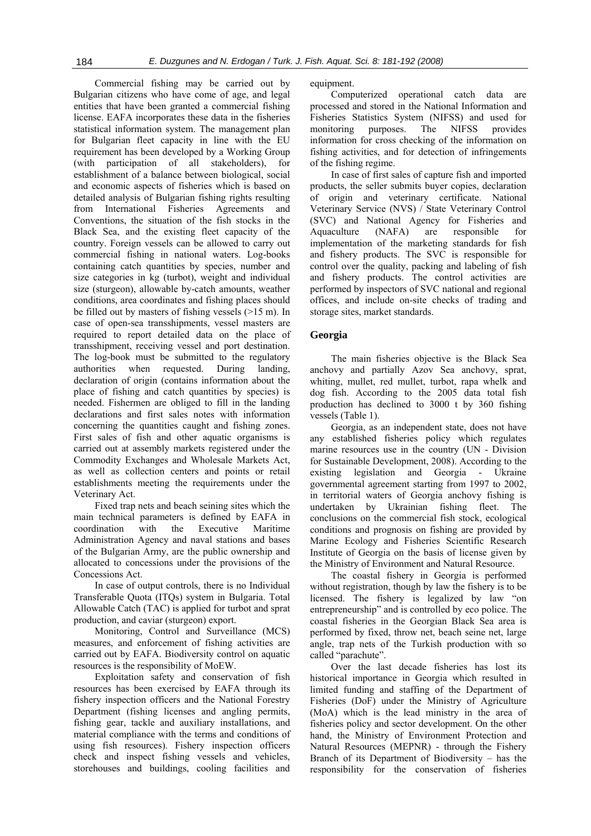Commercial fishing may be carried out by Bulgarian citizens who have come of age, and legal entities that have been granted a commercial fishing license. EAFA incorporates these data in the fisheries statistical information system. The management plan for Bulgarian fleet capacity in line with the EU requirement has been developed by a Working Group (with participation of all stakeholders), for establishment of a balance between biological, social and economic aspects of fisheries which is based on detailed analysis of Bulgarian fishing rights resulting from International Fisheries Agreements and Conventions, the situation of the fish stocks in the Black Sea, and the existing fleet capacity of the country. Foreign vessels can be allowed to carry out commercial fishing in national waters. Log-books containing catch quantities by species, number and size categories in kg (turbot), weight and individual size (sturgeon), allowable by-catch amounts, weather conditions, area coordinates and fishing places should be filled out by masters of fishing vessels (>15 m). In case of open-sea transshipments, vessel masters are required to report detailed data on the place of transshipment, receiving vessel and port destination. The log-book must be submitted to the regulatory authorities when requested. During landing, declaration of origin (contains information about the place of fishing and catch quantities by species) is needed. Fishermen are obliged to fill in the landing declarations and first sales notes with information concerning the quantities caught and fishing zones. First sales of fish and other aquatic organisms is carried out at assembly markets registered under the Commodity Exchanges and Wholesale Markets Act, as well as collection centers and points or retail establishments meeting the requirements under the Veterinary Act.

Fixed trap nets and beach seining sites which the main technical parameters is defined by EAFA in coordination with the Executive Maritime Administration Agency and naval stations and bases of the Bulgarian Army, are the public ownership and allocated to concessions under the provisions of the Concessions Act.

In case of output controls, there is no Individual Transferable Quota (ITQs) system in Bulgaria. Total Allowable Catch (TAC) is applied for turbot and sprat production, and caviar (sturgeon) export.

Monitoring, Control and Surveillance (MCS) measures, and enforcement of fishing activities are carried out by EAFA. Biodiversity control on aquatic resources is the responsibility of MoEW.

Exploitation safety and conservation of fish resources has been exercised by EAFA through its fishery inspection officers and the National Forestry Department (fishing licenses and angling permits, fishing gear, tackle and auxiliary installations, and material compliance with the terms and conditions of using fish resources). Fishery inspection officers check and inspect fishing vessels and vehicles, storehouses and buildings, cooling facilities and

equipment.

Computerized operational catch data are processed and stored in the National Information and Fisheries Statistics System (NIFSS) and used for monitoring purposes. The NIFSS provides information for cross checking of the information on fishing activities, and for detection of infringements of the fishing regime.

In case of first sales of capture fish and imported products, the seller submits buyer copies, declaration of origin and veterinary certificate. National Veterinary Service (NVS) / State Veterinary Control (SVC) and National Agency for Fisheries and Aquaculture (NAFA) are responsible for implementation of the marketing standards for fish and fishery products. The SVC is responsible for control over the quality, packing and labeling of fish and fishery products. The control activities are performed by inspectors of SVC national and regional offices, and include on-site checks of trading and storage sites, market standards.

#### **Georgia**

The main fisheries objective is the Black Sea anchovy and partially Azov Sea anchovy, sprat, whiting, mullet, red mullet, turbot, rapa whelk and dog fish. According to the 2005 data total fish production has declined to 3000 t by 360 fishing vessels (Table 1).

Georgia, as an independent state, does not have any established fisheries policy which regulates marine resources use in the country (UN - Division for Sustainable Development, 2008). According to the existing legislation and Georgia - Ukraine governmental agreement starting from 1997 to 2002, in territorial waters of Georgia anchovy fishing is undertaken by Ukrainian fishing fleet. The conclusions on the commercial fish stock, ecological conditions and prognosis on fishing are provided by Marine Ecology and Fisheries Scientific Research Institute of Georgia on the basis of license given by the Ministry of Environment and Natural Resource.

The coastal fishery in Georgia is performed without registration, though by law the fishery is to be licensed. The fishery is legalized by law "on entrepreneurship" and is controlled by eco police. The coastal fisheries in the Georgian Black Sea area is performed by fixed, throw net, beach seine net, large angle, trap nets of the Turkish production with so called "parachute".

Over the last decade fisheries has lost its historical importance in Georgia which resulted in limited funding and staffing of the Department of Fisheries (DoF) under the Ministry of Agriculture (MoA) which is the lead ministry in the area of fisheries policy and sector development. On the other hand, the Ministry of Environment Protection and Natural Resources (MEPNR) - through the Fishery Branch of its Department of Biodiversity – has the responsibility for the conservation of fisheries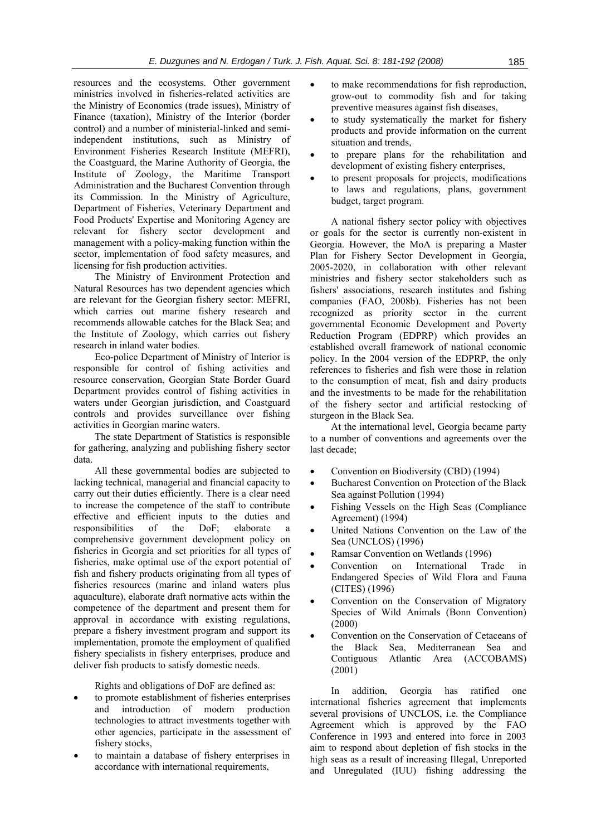resources and the ecosystems. Other government ministries involved in fisheries-related activities are the Ministry of Economics (trade issues), Ministry of Finance (taxation), Ministry of the Interior (border control) and a number of ministerial-linked and semiindependent institutions, such as Ministry of Environment Fisheries Research Institute (MEFRI), the Coastguard, the Marine Authority of Georgia, the Institute of Zoology, the Maritime Transport Administration and the Bucharest Convention through its Commission. In the Ministry of Agriculture, Department of Fisheries, Veterinary Department and Food Products' Expertise and Monitoring Agency are relevant for fishery sector development and management with a policy-making function within the sector, implementation of food safety measures, and licensing for fish production activities.

The Ministry of Environment Protection and Natural Resources has two dependent agencies which are relevant for the Georgian fishery sector: MEFRI, which carries out marine fishery research and recommends allowable catches for the Black Sea; and the Institute of Zoology, which carries out fishery research in inland water bodies.

Eco-police Department of Ministry of Interior is responsible for control of fishing activities and resource conservation, Georgian State Border Guard Department provides control of fishing activities in waters under Georgian jurisdiction, and Coastguard controls and provides surveillance over fishing activities in Georgian marine waters.

The state Department of Statistics is responsible for gathering, analyzing and publishing fishery sector data.

All these governmental bodies are subjected to lacking technical, managerial and financial capacity to carry out their duties efficiently. There is a clear need to increase the competence of the staff to contribute effective and efficient inputs to the duties and responsibilities of the DoF; elaborate a comprehensive government development policy on fisheries in Georgia and set priorities for all types of fisheries, make optimal use of the export potential of fish and fishery products originating from all types of fisheries resources (marine and inland waters plus aquaculture), elaborate draft normative acts within the competence of the department and present them for approval in accordance with existing regulations, prepare a fishery investment program and support its implementation, promote the employment of qualified fishery specialists in fishery enterprises, produce and deliver fish products to satisfy domestic needs.

Rights and obligations of DoF are defined as:

- to promote establishment of fisheries enterprises and introduction of modern production technologies to attract investments together with other agencies, participate in the assessment of fishery stocks,
- to maintain a database of fishery enterprises in accordance with international requirements,
- to make recommendations for fish reproduction, grow-out to commodity fish and for taking preventive measures against fish diseases,
- to study systematically the market for fishery products and provide information on the current situation and trends,
- to prepare plans for the rehabilitation and development of existing fishery enterprises,
- to present proposals for projects, modifications to laws and regulations, plans, government budget, target program.

A national fishery sector policy with objectives or goals for the sector is currently non-existent in Georgia. However, the MoA is preparing a Master Plan for Fishery Sector Development in Georgia, 2005-2020, in collaboration with other relevant ministries and fishery sector stakeholders such as fishers' associations, research institutes and fishing companies (FAO, 2008b). Fisheries has not been recognized as priority sector in the current governmental Economic Development and Poverty Reduction Program (EDPRP) which provides an established overall framework of national economic policy. In the 2004 version of the EDPRP, the only references to fisheries and fish were those in relation to the consumption of meat, fish and dairy products and the investments to be made for the rehabilitation of the fishery sector and artificial restocking of sturgeon in the Black Sea.

At the international level, Georgia became party to a number of conventions and agreements over the last decade;

- Convention on Biodiversity (CBD) (1994)
- Bucharest Convention on Protection of the Black Sea against Pollution (1994)
- Fishing Vessels on the High Seas (Compliance Agreement) (1994)
- United Nations Convention on the Law of the Sea (UNCLOS) (1996)
- Ramsar Convention on Wetlands (1996)
- Convention on International Trade in Endangered Species of Wild Flora and Fauna (CITES) (1996)
- Convention on the Conservation of Migratory Species of Wild Animals (Bonn Convention) (2000)
- Convention on the Conservation of Cetaceans of the Black Sea, Mediterranean Sea and Contiguous Atlantic Area (ACCOBAMS) (2001)

In addition, Georgia has ratified one international fisheries agreement that implements several provisions of UNCLOS, i.e. the Compliance Agreement which is approved by the FAO Conference in 1993 and entered into force in 2003 aim to respond about depletion of fish stocks in the high seas as a result of increasing Illegal, Unreported and Unregulated (IUU) fishing addressing the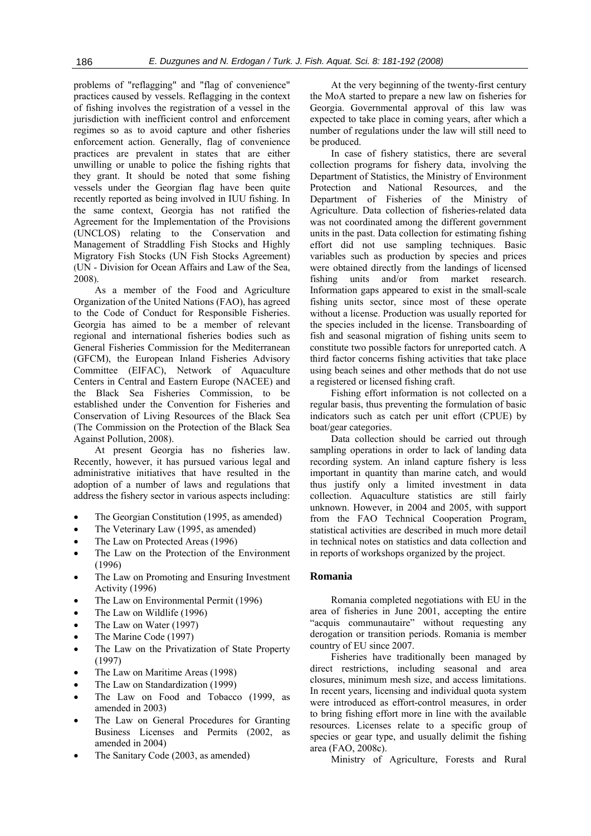problems of "reflagging" and "flag of convenience" practices caused by vessels. Reflagging in the context of fishing involves the registration of a vessel in the jurisdiction with inefficient control and enforcement regimes so as to avoid capture and other fisheries enforcement action. Generally, flag of convenience practices are prevalent in states that are either unwilling or unable to police the fishing rights that they grant. It should be noted that some fishing vessels under the Georgian flag have been quite recently reported as being involved in IUU fishing. In the same context, Georgia has not ratified the Agreement for the Implementation of the Provisions (UNCLOS) relating to the Conservation and Management of Straddling Fish Stocks and Highly Migratory Fish Stocks (UN Fish Stocks Agreement) (UN - Division for Ocean Affairs and Law of the Sea, 2008).

As a member of the Food and Agriculture Organization of the United Nations (FAO), has agreed to the Code of Conduct for Responsible Fisheries. Georgia has aimed to be a member of relevant regional and international fisheries bodies such as General Fisheries Commission for the Mediterranean (GFCM), the European Inland Fisheries Advisory Committee (EIFAC), Network of Aquaculture Centers in Central and Eastern Europe (NACEE) and the Black Sea Fisheries Commission, to be established under the Convention for Fisheries and Conservation of Living Resources of the Black Sea (The Commission on the Protection of the Black Sea Against Pollution, 2008).

At present Georgia has no fisheries law. Recently, however, it has pursued various legal and administrative initiatives that have resulted in the adoption of a number of laws and regulations that address the fishery sector in various aspects including:

- The Georgian Constitution (1995, as amended)
- The Veterinary Law (1995, as amended)
- The Law on Protected Areas (1996)
- The Law on the Protection of the Environment (1996)
- The Law on Promoting and Ensuring Investment Activity (1996)
- The Law on Environmental Permit (1996)
- The Law on Wildlife (1996)
- The Law on Water (1997)
- The Marine Code (1997)
- The Law on the Privatization of State Property (1997)
- The Law on Maritime Areas (1998)
- The Law on Standardization (1999)
- The Law on Food and Tobacco (1999, as amended in 2003)
- The Law on General Procedures for Granting Business Licenses and Permits (2002, as amended in 2004)
- The Sanitary Code (2003, as amended)

At the very beginning of the twenty-first century the MoA started to prepare a new law on fisheries for Georgia. Governmental approval of this law was expected to take place in coming years, after which a number of regulations under the law will still need to be produced.

In case of fishery statistics, there are several collection programs for fishery data, involving the Department of Statistics, the Ministry of Environment Protection and National Resources, and the Department of Fisheries of the Ministry of Agriculture. Data collection of fisheries-related data was not coordinated among the different government units in the past. Data collection for estimating fishing effort did not use sampling techniques. Basic variables such as production by species and prices were obtained directly from the landings of licensed fishing units and/or from market research. Information gaps appeared to exist in the small-scale fishing units sector, since most of these operate without a license. Production was usually reported for the species included in the license. Transboarding of fish and seasonal migration of fishing units seem to constitute two possible factors for unreported catch. A third factor concerns fishing activities that take place using beach seines and other methods that do not use a registered or licensed fishing craft.

Fishing effort information is not collected on a regular basis, thus preventing the formulation of basic indicators such as catch per unit effort (CPUE) by boat/gear categories.

Data collection should be carried out through sampling operations in order to lack of landing data recording system. An inland capture fishery is less important in quantity than marine catch, and would thus justify only a limited investment in data collection. Aquaculture statistics are still fairly unknown. However, in 2004 and 2005, with support from the FAO Technical Cooperation Program, statistical activities are described in much more detail in technical notes on statistics and data collection and in reports of workshops organized by the project.

#### **Romania**

Romania completed negotiations with EU in the area of fisheries in June 2001, accepting the entire "acquis communautaire" without requesting any derogation or transition periods. Romania is member country of EU since 2007.

Fisheries have traditionally been managed by direct restrictions, including seasonal and area closures, minimum mesh size, and access limitations. In recent years, licensing and individual quota system were introduced as effort-control measures, in order to bring fishing effort more in line with the available resources. Licenses relate to a specific group of species or gear type, and usually delimit the fishing area (FAO, 2008c).

Ministry of Agriculture, Forests and Rural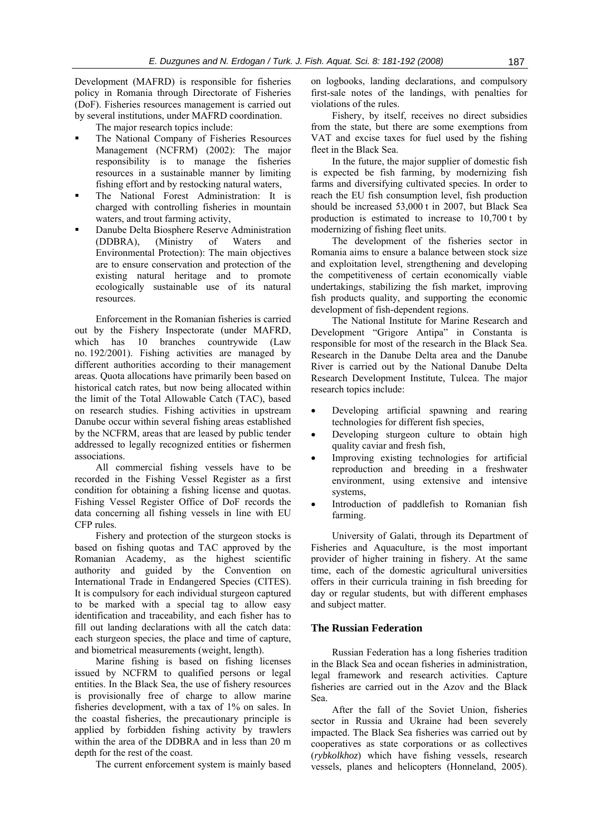Development (MAFRD) is responsible for fisheries policy in Romania through Directorate of Fisheries (DoF). Fisheries resources management is carried out by several institutions, under MAFRD coordination.

The major research topics include:

- The National Company of Fisheries Resources Management (NCFRM) (2002): The major responsibility is to manage the fisheries resources in a sustainable manner by limiting fishing effort and by restocking natural waters,
- The National Forest Administration: It is charged with controlling fisheries in mountain waters, and trout farming activity,
- Danube Delta Biosphere Reserve Administration (DDBRA), (Ministry of Waters and Environmental Protection): The main objectives are to ensure conservation and protection of the existing natural heritage and to promote ecologically sustainable use of its natural resources.

Enforcement in the Romanian fisheries is carried out by the Fishery Inspectorate (under MAFRD, which has 10 branches countrywide (Law no. 192/2001). Fishing activities are managed by different authorities according to their management areas. Quota allocations have primarily been based on historical catch rates, but now being allocated within the limit of the Total Allowable Catch (TAC), based on research studies. Fishing activities in upstream Danube occur within several fishing areas established by the NCFRM, areas that are leased by public tender addressed to legally recognized entities or fishermen associations.

All commercial fishing vessels have to be recorded in the Fishing Vessel Register as a first condition for obtaining a fishing license and quotas. Fishing Vessel Register Office of DoF records the data concerning all fishing vessels in line with EU CFP rules.

Fishery and protection of the sturgeon stocks is based on fishing quotas and TAC approved by the Romanian Academy, as the highest scientific authority and guided by the Convention on International Trade in Endangered Species (CITES). It is compulsory for each individual sturgeon captured to be marked with a special tag to allow easy identification and traceability, and each fisher has to fill out landing declarations with all the catch data: each sturgeon species, the place and time of capture, and biometrical measurements (weight, length).

Marine fishing is based on fishing licenses issued by NCFRM to qualified persons or legal entities. In the Black Sea, the use of fishery resources is provisionally free of charge to allow marine fisheries development, with a tax of 1% on sales. In the coastal fisheries, the precautionary principle is applied by forbidden fishing activity by trawlers within the area of the DDBRA and in less than 20 m depth for the rest of the coast.

The current enforcement system is mainly based

on logbooks, landing declarations, and compulsory first-sale notes of the landings, with penalties for violations of the rules.

Fishery, by itself, receives no direct subsidies from the state, but there are some exemptions from VAT and excise taxes for fuel used by the fishing fleet in the Black Sea.

In the future, the major supplier of domestic fish is expected be fish farming, by modernizing fish farms and diversifying cultivated species. In order to reach the EU fish consumption level, fish production should be increased 53,000 t in 2007, but Black Sea production is estimated to increase to 10,700 t by modernizing of fishing fleet units.

The development of the fisheries sector in Romania aims to ensure a balance between stock size and exploitation level, strengthening and developing the competitiveness of certain economically viable undertakings, stabilizing the fish market, improving fish products quality, and supporting the economic development of fish-dependent regions.

The National Institute for Marine Research and Development "Grigore Antipa" in Constanta is responsible for most of the research in the Black Sea. Research in the Danube Delta area and the Danube River is carried out by the National Danube Delta Research Development Institute, Tulcea. The major research topics include:

- Developing artificial spawning and rearing technologies for different fish species,
- Developing sturgeon culture to obtain high quality caviar and fresh fish,
- Improving existing technologies for artificial reproduction and breeding in a freshwater environment, using extensive and intensive systems,
- Introduction of paddlefish to Romanian fish farming.

University of Galati, through its Department of Fisheries and Aquaculture, is the most important provider of higher training in fishery. At the same time, each of the domestic agricultural universities offers in their curricula training in fish breeding for day or regular students, but with different emphases and subject matter.

### **The Russian Federation**

Russian Federation has a long fisheries tradition in the Black Sea and ocean fisheries in administration, legal framework and research activities. Capture fisheries are carried out in the Azov and the Black Sea.

After the fall of the Soviet Union, fisheries sector in Russia and Ukraine had been severely impacted. The Black Sea fisheries was carried out by cooperatives as state corporations or as collectives (*rybkolkhoz*) which have fishing vessels, research vessels, planes and helicopters (Honneland, 2005).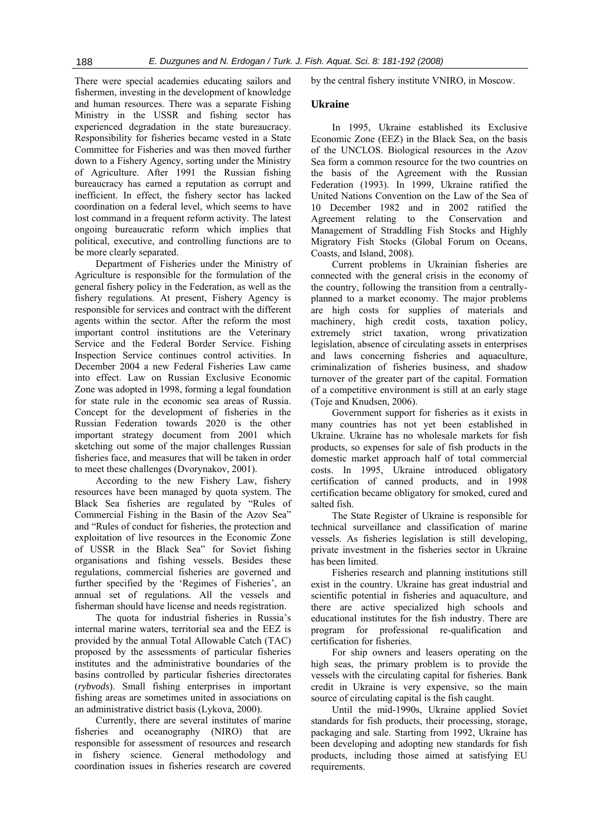There were special academies educating sailors and fishermen, investing in the development of knowledge and human resources. There was a separate Fishing Ministry in the USSR and fishing sector has experienced degradation in the state bureaucracy. Responsibility for fisheries became vested in a State Committee for Fisheries and was then moved further down to a Fishery Agency, sorting under the Ministry of Agriculture. After 1991 the Russian fishing bureaucracy has earned a reputation as corrupt and inefficient. In effect, the fishery sector has lacked coordination on a federal level, which seems to have lost command in a frequent reform activity. The latest ongoing bureaucratic reform which implies that political, executive, and controlling functions are to be more clearly separated.

Department of Fisheries under the Ministry of Agriculture is responsible for the formulation of the general fishery policy in the Federation, as well as the fishery regulations. At present, Fishery Agency is responsible for services and contract with the different agents within the sector. After the reform the most important control institutions are the Veterinary Service and the Federal Border Service. Fishing Inspection Service continues control activities. In December 2004 a new Federal Fisheries Law came into effect. Law on Russian Exclusive Economic Zone was adopted in 1998, forming a legal foundation for state rule in the economic sea areas of Russia. Concept for the development of fisheries in the Russian Federation towards 2020 is the other important strategy document from 2001 which sketching out some of the major challenges Russian fisheries face, and measures that will be taken in order to meet these challenges (Dvorynakov, 2001).

According to the new Fishery Law, fishery resources have been managed by quota system. The Black Sea fisheries are regulated by "Rules of Commercial Fishing in the Basin of the Azov Sea" and "Rules of conduct for fisheries, the protection and exploitation of live resources in the Economic Zone of USSR in the Black Sea" for Soviet fishing organisations and fishing vessels. Besides these regulations, commercial fisheries are governed and further specified by the 'Regimes of Fisheries', an annual set of regulations. All the vessels and fisherman should have license and needs registration.

The quota for industrial fisheries in Russia's internal marine waters, territorial sea and the EEZ is provided by the annual Total Allowable Catch (TAC) proposed by the assessments of particular fisheries institutes and the administrative boundaries of the basins controlled by particular fisheries directorates (*rybvods*). Small fishing enterprises in important fishing areas are sometimes united in associations on an administrative district basis (Lykova, 2000).

Currently, there are several institutes of marine fisheries and oceanography (NIRO) that are responsible for assessment of resources and research in fishery science. General methodology and coordination issues in fisheries research are covered by the central fishery institute VNIRO, in Moscow.

#### **Ukraine**

In 1995, Ukraine established its Exclusive Economic Zone (EEZ) in the Black Sea, on the basis of the UNCLOS. Biological resources in the Azov Sea form a common resource for the two countries on the basis of the Agreement with the Russian Federation (1993). In 1999, Ukraine ratified the United Nations Convention on the Law of the Sea of 10 December 1982 and in 2002 ratified the Agreement relating to the Conservation and Management of Straddling Fish Stocks and Highly Migratory Fish Stocks (Global Forum on Oceans, Coasts, and Island, 2008).

Current problems in Ukrainian fisheries are connected with the general crisis in the economy of the country, following the transition from a centrallyplanned to a market economy. The major problems are high costs for supplies of materials and machinery, high credit costs, taxation policy, extremely strict taxation, wrong privatization legislation, absence of circulating assets in enterprises and laws concerning fisheries and aquaculture, criminalization of fisheries business, and shadow turnover of the greater part of the capital. Formation of a competitive environment is still at an early stage (Toje and Knudsen, 2006).

Government support for fisheries as it exists in many countries has not yet been established in Ukraine. Ukraine has no wholesale markets for fish products, so expenses for sale of fish products in the domestic market approach half of total commercial costs. In 1995, Ukraine introduced obligatory certification of canned products, and in 1998 certification became obligatory for smoked, cured and salted fish.

The State Register of Ukraine is responsible for technical surveillance and classification of marine vessels. As fisheries legislation is still developing, private investment in the fisheries sector in Ukraine has been limited.

Fisheries research and planning institutions still exist in the country. Ukraine has great industrial and scientific potential in fisheries and aquaculture, and there are active specialized high schools and educational institutes for the fish industry. There are program for professional re-qualification and certification for fisheries.

For ship owners and leasers operating on the high seas, the primary problem is to provide the vessels with the circulating capital for fisheries. Bank credit in Ukraine is very expensive, so the main source of circulating capital is the fish caught.

Until the mid-1990s, Ukraine applied Soviet standards for fish products, their processing, storage, packaging and sale. Starting from 1992, Ukraine has been developing and adopting new standards for fish products, including those aimed at satisfying EU requirements.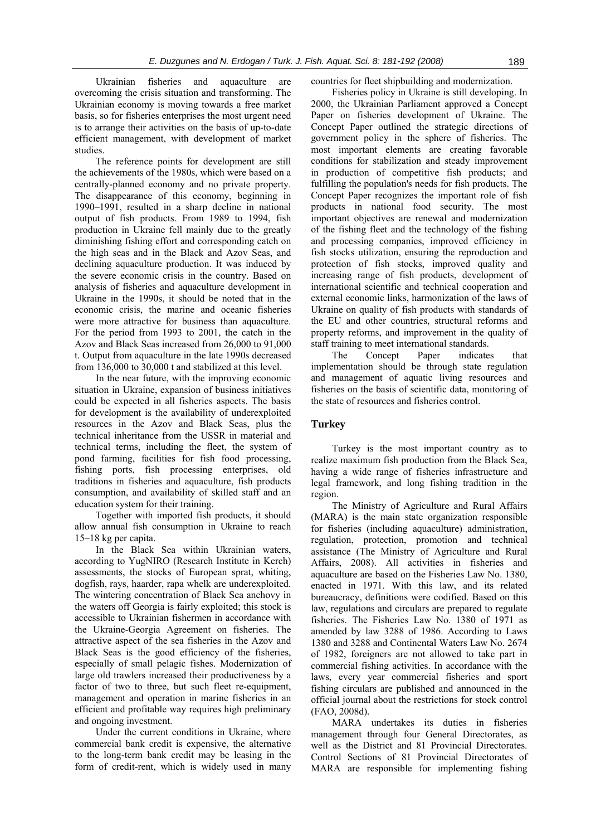Ukrainian fisheries and aquaculture are overcoming the crisis situation and transforming. The Ukrainian economy is moving towards a free market basis, so for fisheries enterprises the most urgent need is to arrange their activities on the basis of up-to-date efficient management, with development of market studies.

The reference points for development are still the achievements of the 1980s, which were based on a centrally-planned economy and no private property. The disappearance of this economy, beginning in 1990–1991, resulted in a sharp decline in national output of fish products. From 1989 to 1994, fish production in Ukraine fell mainly due to the greatly diminishing fishing effort and corresponding catch on the high seas and in the Black and Azov Seas, and declining aquaculture production. It was induced by the severe economic crisis in the country. Based on analysis of fisheries and aquaculture development in Ukraine in the 1990s, it should be noted that in the economic crisis, the marine and oceanic fisheries were more attractive for business than aquaculture. For the period from 1993 to 2001, the catch in the Azov and Black Seas increased from 26,000 to 91,000 t. Output from aquaculture in the late 1990s decreased from 136,000 to 30,000 t and stabilized at this level.

In the near future, with the improving economic situation in Ukraine, expansion of business initiatives could be expected in all fisheries aspects. The basis for development is the availability of underexploited resources in the Azov and Black Seas, plus the technical inheritance from the USSR in material and technical terms, including the fleet, the system of pond farming, facilities for fish food processing, fishing ports, fish processing enterprises, old traditions in fisheries and aquaculture, fish products consumption, and availability of skilled staff and an education system for their training.

Together with imported fish products, it should allow annual fish consumption in Ukraine to reach 15–18 kg per capita.

In the Black Sea within Ukrainian waters, according to YugNIRO (Research Institute in Kerch) assessments, the stocks of European sprat, whiting, dogfish, rays, haarder, rapa whelk are underexploited. The wintering concentration of Black Sea anchovy in the waters off Georgia is fairly exploited; this stock is accessible to Ukrainian fishermen in accordance with the Ukraine-Georgia Agreement on fisheries. The attractive aspect of the sea fisheries in the Azov and Black Seas is the good efficiency of the fisheries, especially of small pelagic fishes. Modernization of large old trawlers increased their productiveness by a factor of two to three, but such fleet re-equipment, management and operation in marine fisheries in an efficient and profitable way requires high preliminary and ongoing investment.

Under the current conditions in Ukraine, where commercial bank credit is expensive, the alternative to the long-term bank credit may be leasing in the form of credit-rent, which is widely used in many countries for fleet shipbuilding and modernization.

Fisheries policy in Ukraine is still developing. In 2000, the Ukrainian Parliament approved a Concept Paper on fisheries development of Ukraine. The Concept Paper outlined the strategic directions of government policy in the sphere of fisheries. The most important elements are creating favorable conditions for stabilization and steady improvement in production of competitive fish products; and fulfilling the population's needs for fish products. The Concept Paper recognizes the important role of fish products in national food security. The most important objectives are renewal and modernization of the fishing fleet and the technology of the fishing and processing companies, improved efficiency in fish stocks utilization, ensuring the reproduction and protection of fish stocks, improved quality and increasing range of fish products, development of international scientific and technical cooperation and external economic links, harmonization of the laws of Ukraine on quality of fish products with standards of the EU and other countries, structural reforms and property reforms, and improvement in the quality of staff training to meet international standards.

The Concept Paper indicates that implementation should be through state regulation and management of aquatic living resources and fisheries on the basis of scientific data, monitoring of the state of resources and fisheries control.

#### **Turkey**

Turkey is the most important country as to realize maximum fish production from the Black Sea, having a wide range of fisheries infrastructure and legal framework, and long fishing tradition in the region.

The Ministry of Agriculture and Rural Affairs (MARA) is the main state organization responsible for fisheries (including aquaculture) administration, regulation, protection, promotion and technical assistance (The Ministry of Agriculture and Rural Affairs, 2008). All activities in fisheries and aquaculture are based on the Fisheries Law No. 1380, enacted in 1971. With this law, and its related bureaucracy, definitions were codified. Based on this law, regulations and circulars are prepared to regulate fisheries. The Fisheries Law No. 1380 of 1971 as amended by law 3288 of 1986. According to Laws 1380 and 3288 and Continental Waters Law No. 2674 of 1982, foreigners are not allowed to take part in commercial fishing activities. In accordance with the laws, every year commercial fisheries and sport fishing circulars are published and announced in the official journal about the restrictions for stock control (FAO, 2008d).

MARA undertakes its duties in fisheries management through four General Directorates, as well as the District and 81 Provincial Directorates. Control Sections of 81 Provincial Directorates of MARA are responsible for implementing fishing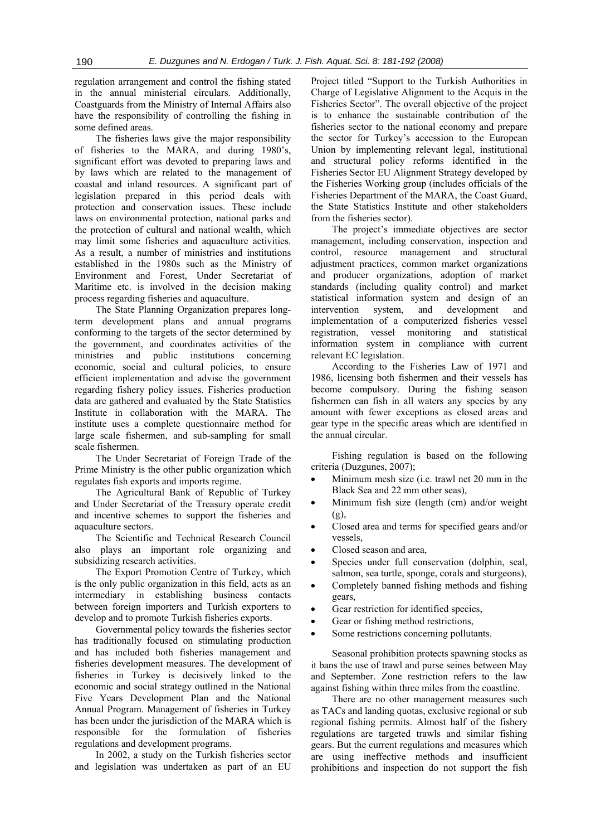regulation arrangement and control the fishing stated in the annual ministerial circulars. Additionally, Coastguards from the Ministry of Internal Affairs also have the responsibility of controlling the fishing in some defined areas.

The fisheries laws give the major responsibility of fisheries to the MARA, and during 1980's, significant effort was devoted to preparing laws and by laws which are related to the management of coastal and inland resources. A significant part of legislation prepared in this period deals with protection and conservation issues. These include laws on environmental protection, national parks and the protection of cultural and national wealth, which may limit some fisheries and aquaculture activities. As a result, a number of ministries and institutions established in the 1980s such as the Ministry of Environment and Forest, Under Secretariat of Maritime etc. is involved in the decision making process regarding fisheries and aquaculture.

The State Planning Organization prepares longterm development plans and annual programs conforming to the targets of the sector determined by the government, and coordinates activities of the ministries and public institutions concerning economic, social and cultural policies, to ensure efficient implementation and advise the government regarding fishery policy issues. Fisheries production data are gathered and evaluated by the State Statistics Institute in collaboration with the MARA. The institute uses a complete questionnaire method for large scale fishermen, and sub-sampling for small scale fishermen.

The Under Secretariat of Foreign Trade of the Prime Ministry is the other public organization which regulates fish exports and imports regime.

The Agricultural Bank of Republic of Turkey and Under Secretariat of the Treasury operate credit and incentive schemes to support the fisheries and aquaculture sectors.

The Scientific and Technical Research Council also plays an important role organizing and subsidizing research activities.

The Export Promotion Centre of Turkey, which is the only public organization in this field, acts as an intermediary in establishing business contacts between foreign importers and Turkish exporters to develop and to promote Turkish fisheries exports.

Governmental policy towards the fisheries sector has traditionally focused on stimulating production and has included both fisheries management and fisheries development measures. The development of fisheries in Turkey is decisively linked to the economic and social strategy outlined in the National Five Years Development Plan and the National Annual Program. Management of fisheries in Turkey has been under the jurisdiction of the MARA which is responsible for the formulation of fisheries regulations and development programs.

In 2002, a study on the Turkish fisheries sector and legislation was undertaken as part of an EU Project titled "Support to the Turkish Authorities in Charge of Legislative Alignment to the Acquis in the Fisheries Sector". The overall objective of the project is to enhance the sustainable contribution of the fisheries sector to the national economy and prepare the sector for Turkey's accession to the European Union by implementing relevant legal, institutional and structural policy reforms identified in the Fisheries Sector EU Alignment Strategy developed by the Fisheries Working group (includes officials of the Fisheries Department of the MARA, the Coast Guard, the State Statistics Institute and other stakeholders from the fisheries sector).

The project's immediate objectives are sector management, including conservation, inspection and control, resource management and structural adjustment practices, common market organizations and producer organizations, adoption of market standards (including quality control) and market statistical information system and design of an intervention system, and development and implementation of a computerized fisheries vessel registration, vessel monitoring and statistical information system in compliance with current relevant EC legislation.

According to the Fisheries Law of 1971 and 1986, licensing both fishermen and their vessels has become compulsory. During the fishing season fishermen can fish in all waters any species by any amount with fewer exceptions as closed areas and gear type in the specific areas which are identified in the annual circular.

Fishing regulation is based on the following criteria (Duzgunes, 2007);

- Minimum mesh size (i.e. trawl net 20 mm in the Black Sea and 22 mm other seas),
- Minimum fish size (length (cm) and/or weight (g),
- Closed area and terms for specified gears and/or vessels,
- Closed season and area,
- Species under full conservation (dolphin, seal, salmon, sea turtle, sponge, corals and sturgeons),
- Completely banned fishing methods and fishing gears,
- Gear restriction for identified species,
- Gear or fishing method restrictions,
- Some restrictions concerning pollutants.

Seasonal prohibition protects spawning stocks as it bans the use of trawl and purse seines between May and September. Zone restriction refers to the law against fishing within three miles from the coastline.

There are no other management measures such as TACs and landing quotas, exclusive regional or sub regional fishing permits. Almost half of the fishery regulations are targeted trawls and similar fishing gears. But the current regulations and measures which are using ineffective methods and insufficient prohibitions and inspection do not support the fish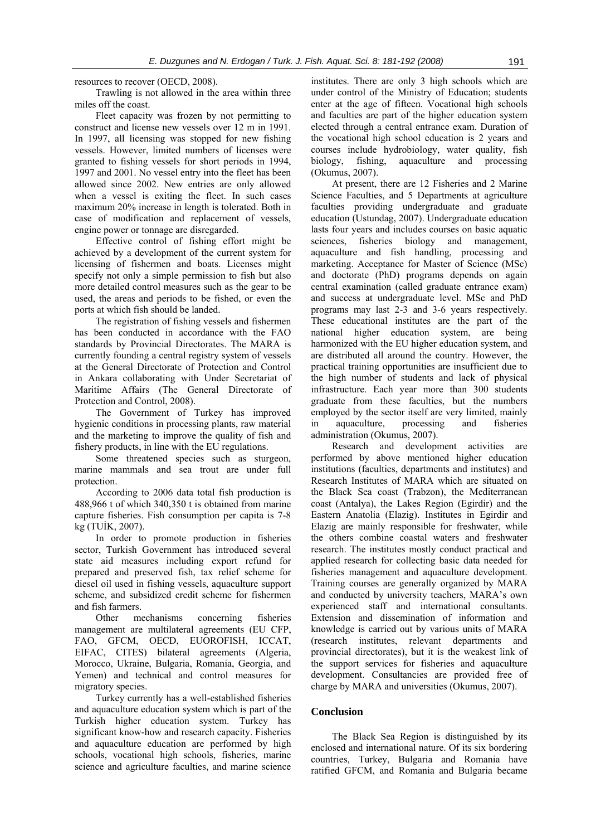resources to recover (OECD, 2008).

Trawling is not allowed in the area within three miles off the coast.

Fleet capacity was frozen by not permitting to construct and license new vessels over 12 m in 1991. In 1997, all licensing was stopped for new fishing vessels. However, limited numbers of licenses were granted to fishing vessels for short periods in 1994, 1997 and 2001. No vessel entry into the fleet has been allowed since 2002. New entries are only allowed when a vessel is exiting the fleet. In such cases maximum 20% increase in length is tolerated. Both in case of modification and replacement of vessels, engine power or tonnage are disregarded.

Effective control of fishing effort might be achieved by a development of the current system for licensing of fishermen and boats. Licenses might specify not only a simple permission to fish but also more detailed control measures such as the gear to be used, the areas and periods to be fished, or even the ports at which fish should be landed.

The registration of fishing vessels and fishermen has been conducted in accordance with the FAO standards by Provincial Directorates. The MARA is currently founding a central registry system of vessels at the General Directorate of Protection and Control in Ankara collaborating with Under Secretariat of Maritime Affairs (The General Directorate of Protection and Control, 2008).

The Government of Turkey has improved hygienic conditions in processing plants, raw material and the marketing to improve the quality of fish and fishery products, in line with the EU regulations.

Some threatened species such as sturgeon, marine mammals and sea trout are under full protection.

According to 2006 data total fish production is 488,966 t of which 340,350 t is obtained from marine capture fisheries. Fish consumption per capita is 7-8 kg (TUİK, 2007).

In order to promote production in fisheries sector, Turkish Government has introduced several state aid measures including export refund for prepared and preserved fish, tax relief scheme for diesel oil used in fishing vessels, aquaculture support scheme, and subsidized credit scheme for fishermen and fish farmers.

Other mechanisms concerning fisheries management are multilateral agreements (EU CFP, FAO, GFCM, OECD, EUOROFISH, ICCAT, EIFAC, CITES) bilateral agreements (Algeria, Morocco, Ukraine, Bulgaria, Romania, Georgia, and Yemen) and technical and control measures for migratory species.

Turkey currently has a well-established fisheries and aquaculture education system which is part of the Turkish higher education system. Turkey has significant know-how and research capacity. Fisheries and aquaculture education are performed by high schools, vocational high schools, fisheries, marine science and agriculture faculties, and marine science institutes. There are only 3 high schools which are under control of the Ministry of Education; students enter at the age of fifteen. Vocational high schools and faculties are part of the higher education system elected through a central entrance exam. Duration of the vocational high school education is 2 years and courses include hydrobiology, water quality, fish biology, fishing, aquaculture and processing (Okumus, 2007).

At present, there are 12 Fisheries and 2 Marine Science Faculties, and 5 Departments at agriculture faculties providing undergraduate and graduate education (Ustundag, 2007). Undergraduate education lasts four years and includes courses on basic aquatic sciences, fisheries biology and management, aquaculture and fish handling, processing and marketing. Acceptance for Master of Science (MSc) and doctorate (PhD) programs depends on again central examination (called graduate entrance exam) and success at undergraduate level. MSc and PhD programs may last 2-3 and 3-6 years respectively. These educational institutes are the part of the national higher education system, are being harmonized with the EU higher education system, and are distributed all around the country. However, the practical training opportunities are insufficient due to the high number of students and lack of physical infrastructure. Each year more than 300 students graduate from these faculties, but the numbers employed by the sector itself are very limited, mainly in aquaculture, processing and fisheries administration (Okumus, 2007).

Research and development activities are performed by above mentioned higher education institutions (faculties, departments and institutes) and Research Institutes of MARA which are situated on the Black Sea coast (Trabzon), the Mediterranean coast (Antalya), the Lakes Region (Egirdir) and the Eastern Anatolia (Elazig). Institutes in Egirdir and Elazig are mainly responsible for freshwater, while the others combine coastal waters and freshwater research. The institutes mostly conduct practical and applied research for collecting basic data needed for fisheries management and aquaculture development. Training courses are generally organized by MARA and conducted by university teachers, MARA's own experienced staff and international consultants. Extension and dissemination of information and knowledge is carried out by various units of MARA (research institutes, relevant departments and provincial directorates), but it is the weakest link of the support services for fisheries and aquaculture development. Consultancies are provided free of charge by MARA and universities (Okumus, 2007).

#### **Conclusion**

The Black Sea Region is distinguished by its enclosed and international nature. Of its six bordering countries, Turkey, Bulgaria and Romania have ratified GFCM, and Romania and Bulgaria became